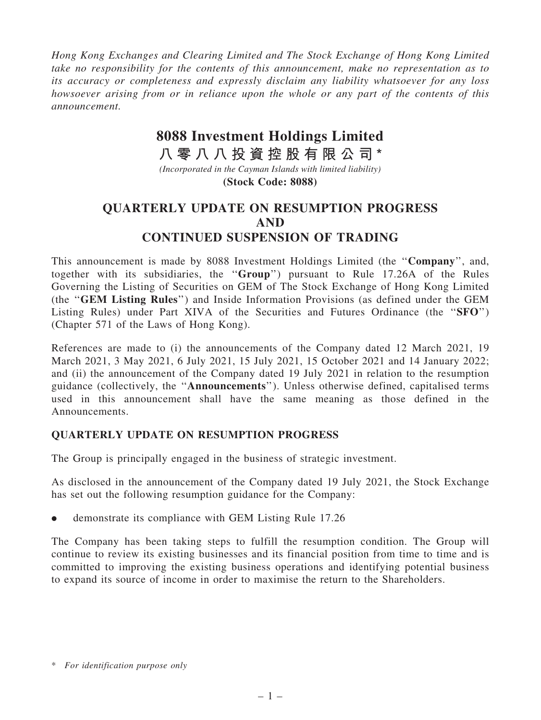*Hong Kong Exchanges and Clearing Limited and The Stock Exchange of Hong Kong Limited take no responsibility for the contents of this announcement, make no representation as to its accuracy or completeness and expressly disclaim any liability whatsoever for any loss howsoever arising from or in reliance upon the whole or any part of the contents of this announcement.*

## **8088 Investment Holdings Limited**

**八 零 八 八 投 資 控 股 有 限 公 司 \***

*(Incorporated in the Cayman Islands with limited liability)* **(Stock Code: 8088)**

## QUARTERLY UPDATE ON RESUMPTION PROGRESS AND CONTINUED SUSPENSION OF TRADING

This announcement is made by 8088 Investment Holdings Limited (the "Company", and, together with its subsidiaries, the ''Group'') pursuant to Rule 17.26A of the Rules Governing the Listing of Securities on GEM of The Stock Exchange of Hong Kong Limited (the ''GEM Listing Rules'') and Inside Information Provisions (as defined under the GEM Listing Rules) under Part XIVA of the Securities and Futures Ordinance (the "SFO") (Chapter 571 of the Laws of Hong Kong).

References are made to (i) the announcements of the Company dated 12 March 2021, 19 March 2021, 3 May 2021, 6 July 2021, 15 July 2021, 15 October 2021 and 14 January 2022; and (ii) the announcement of the Company dated 19 July 2021 in relation to the resumption guidance (collectively, the ''Announcements''). Unless otherwise defined, capitalised terms used in this announcement shall have the same meaning as those defined in the Announcements.

## QUARTERLY UPDATE ON RESUMPTION PROGRESS

The Group is principally engaged in the business of strategic investment.

As disclosed in the announcement of the Company dated 19 July 2021, the Stock Exchange has set out the following resumption guidance for the Company:

. demonstrate its compliance with GEM Listing Rule 17.26

The Company has been taking steps to fulfill the resumption condition. The Group will continue to review its existing businesses and its financial position from time to time and is committed to improving the existing business operations and identifying potential business to expand its source of income in order to maximise the return to the Shareholders.

<sup>\*</sup> *For identification purpose only*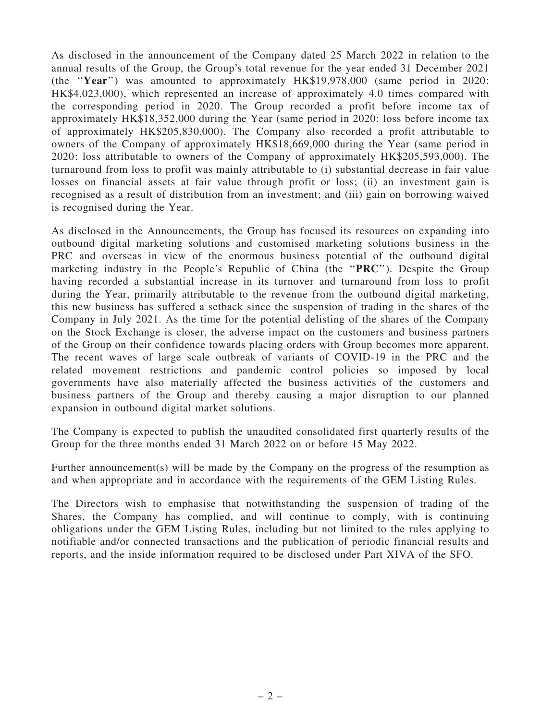As disclosed in the announcement of the Company dated 25 March 2022 in relation to the annual results of the Group, the Group's total revenue for the year ended 31 December 2021 (the ''Year'') was amounted to approximately HK\$19,978,000 (same period in 2020: HK\$4,023,000), which represented an increase of approximately 4.0 times compared with the corresponding period in 2020. The Group recorded a profit before income tax of approximately HK\$18,352,000 during the Year (same period in 2020: loss before income tax of approximately HK\$205,830,000). The Company also recorded a profit attributable to owners of the Company of approximately HK\$18,669,000 during the Year (same period in 2020: loss attributable to owners of the Company of approximately HK\$205,593,000). The turnaround from loss to profit was mainly attributable to (i) substantial decrease in fair value losses on financial assets at fair value through profit or loss; (ii) an investment gain is recognised as a result of distribution from an investment; and (iii) gain on borrowing waived is recognised during the Year.

As disclosed in the Announcements, the Group has focused its resources on expanding into outbound digital marketing solutions and customised marketing solutions business in the PRC and overseas in view of the enormous business potential of the outbound digital marketing industry in the People's Republic of China (the "PRC"). Despite the Group having recorded a substantial increase in its turnover and turnaround from loss to profit during the Year, primarily attributable to the revenue from the outbound digital marketing, this new business has suffered a setback since the suspension of trading in the shares of the Company in July 2021. As the time for the potential delisting of the shares of the Company on the Stock Exchange is closer, the adverse impact on the customers and business partners of the Group on their confidence towards placing orders with Group becomes more apparent. The recent waves of large scale outbreak of variants of COVID-19 in the PRC and the related movement restrictions and pandemic control policies so imposed by local governments have also materially affected the business activities of the customers and business partners of the Group and thereby causing a major disruption to our planned expansion in outbound digital market solutions.

The Company is expected to publish the unaudited consolidated first quarterly results of the Group for the three months ended 31 March 2022 on or before 15 May 2022.

Further announcement(s) will be made by the Company on the progress of the resumption as and when appropriate and in accordance with the requirements of the GEM Listing Rules.

The Directors wish to emphasise that notwithstanding the suspension of trading of the Shares, the Company has complied, and will continue to comply, with is continuing obligations under the GEM Listing Rules, including but not limited to the rules applying to notifiable and/or connected transactions and the publication of periodic financial results and reports, and the inside information required to be disclosed under Part XIVA of the SFO.